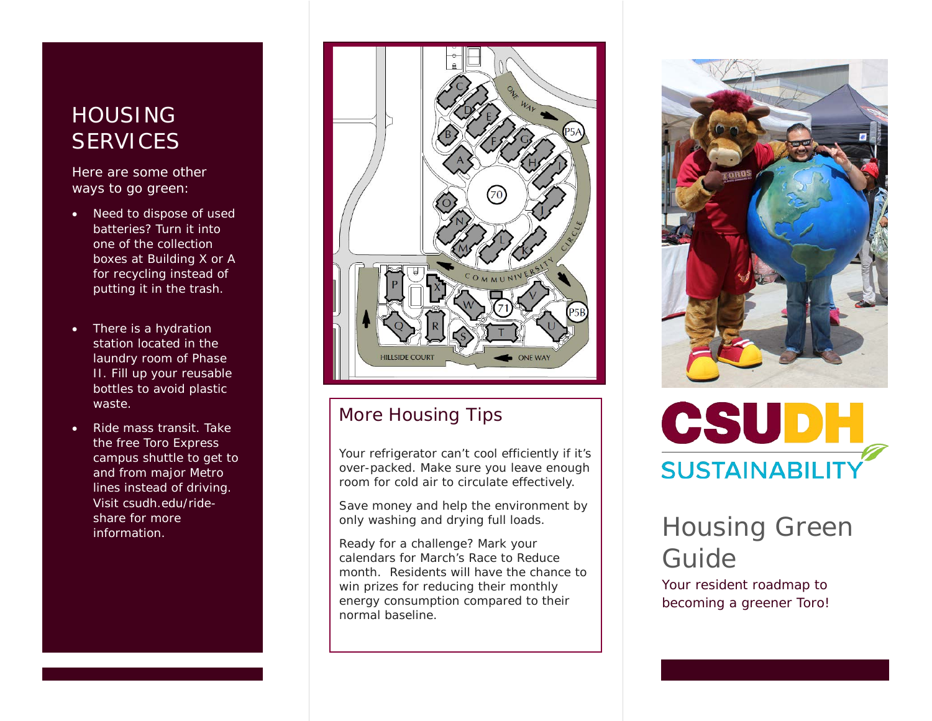# **HOUSING SERVICES**

Here are some other ways to go green:

- Need to dispose of used batteries? Turn it into one of the collection boxes at Building X or A for recycling instead of putting it in the trash.
- There is a hydration station located in the laundry room of Phase II. Fill up your reusable bottles to avoid plastic waste.
- Ride mass transit. Take the free Toro Express campus shuttle to get to and from major Metro lines instead of driving. Visit csudh.edu/rideshare for more



# More Housing Tips

Your refrigerator can't cool efficiently if it's over-packed. Make sure you leave enough room for cold air to circulate effectively.

Save money and help the environment by only washing and drying full loads.

Ready for a challenge? Mark your calendars for March's Race to Reduce month. Residents will have the chance to win prizes for reducing their monthly energy consumption compared to their normal baseline.





# share for more and the structure of the structure of the structure of the structure of the structure of the structure of the structure of the structure of the structure of the structure of the structure of the structure of Guide

Your resident roadmap to becoming a greener Toro!